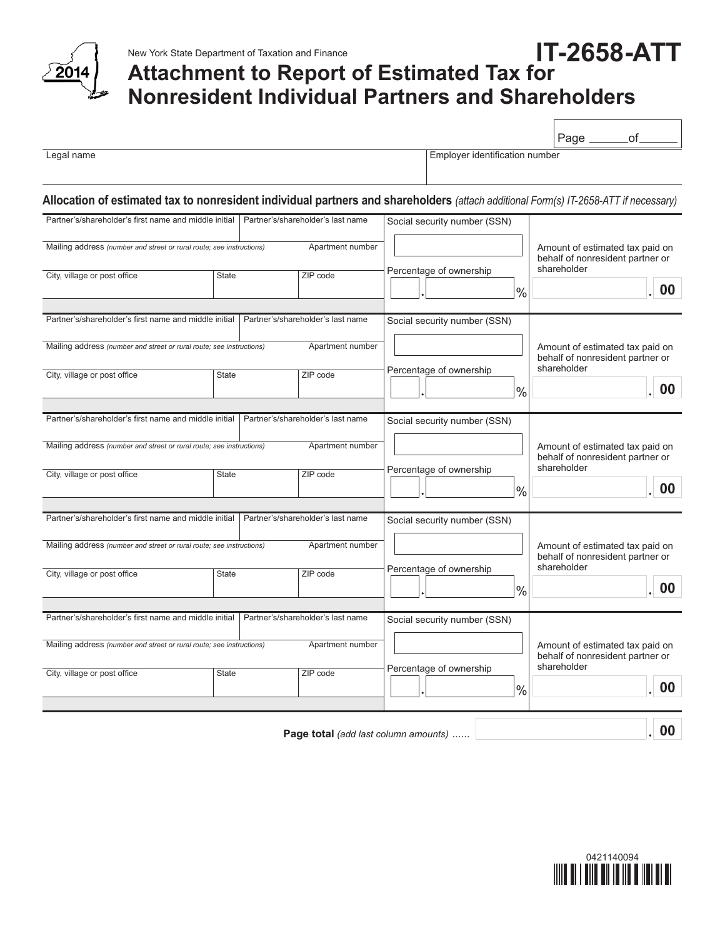

## **Attachment to Report of Estimated Tax for Nonresident Individual Partners and Shareholders IT-2658-ATT**

|                                                                                                                                      |              |                                   |                                   |  |                              |               | Page _                                                              | of.                                                                                |  |
|--------------------------------------------------------------------------------------------------------------------------------------|--------------|-----------------------------------|-----------------------------------|--|------------------------------|---------------|---------------------------------------------------------------------|------------------------------------------------------------------------------------|--|
| Legal name                                                                                                                           |              |                                   | Employer identification number    |  |                              |               |                                                                     |                                                                                    |  |
| Allocation of estimated tax to nonresident individual partners and shareholders (attach additional Form(s) IT-2658-ATT if necessary) |              |                                   |                                   |  |                              |               |                                                                     |                                                                                    |  |
| Partner's/shareholder's first name and middle initial                                                                                |              | Partner's/shareholder's last name | Social security number (SSN)      |  |                              |               |                                                                     |                                                                                    |  |
| Apartment number<br>Mailing address (number and street or rural route; see instructions)                                             |              |                                   |                                   |  |                              |               |                                                                     | Amount of estimated tax paid on<br>behalf of nonresident partner or<br>shareholder |  |
| City, village or post office                                                                                                         | <b>State</b> |                                   | ZIP code                          |  | Percentage of ownership      | $\frac{0}{0}$ | 00                                                                  |                                                                                    |  |
| Partner's/shareholder's last name<br>Partner's/shareholder's first name and middle initial                                           |              |                                   |                                   |  | Social security number (SSN) |               |                                                                     |                                                                                    |  |
| Mailing address (number and street or rural route; see instructions)<br>Apartment number                                             |              |                                   |                                   |  |                              |               | Amount of estimated tax paid on<br>behalf of nonresident partner or |                                                                                    |  |
| City, village or post office                                                                                                         | <b>State</b> |                                   | ZIP code                          |  | Percentage of ownership      | $\frac{0}{0}$ | shareholder                                                         | 00                                                                                 |  |
| Partner's/shareholder's first name and middle initial                                                                                |              |                                   | Partner's/shareholder's last name |  | Social security number (SSN) |               |                                                                     |                                                                                    |  |
| Mailing address (number and street or rural route; see instructions)<br>Apartment number                                             |              |                                   |                                   |  |                              |               |                                                                     | Amount of estimated tax paid on<br>behalf of nonresident partner or                |  |
| City, village or post office                                                                                                         | <b>State</b> |                                   | ZIP code                          |  | Percentage of ownership      | $\frac{0}{0}$ | shareholder                                                         | 00                                                                                 |  |
| Partner's/shareholder's first name and middle initial                                                                                |              |                                   | Partner's/shareholder's last name |  | Social security number (SSN) |               |                                                                     |                                                                                    |  |
| Mailing address (number and street or rural route; see instructions)<br>Apartment number                                             |              |                                   |                                   |  |                              |               | Amount of estimated tax paid on<br>behalf of nonresident partner or |                                                                                    |  |
| City, village or post office                                                                                                         | State        |                                   | ZIP code                          |  | Percentage of ownership      | $\frac{0}{0}$ | shareholder                                                         | 00                                                                                 |  |
| Partner's/shareholder's first name and middle initial                                                                                |              |                                   | Partner's/shareholder's last name |  | Social security number (SSN) |               |                                                                     |                                                                                    |  |
| Mailing address (number and street or rural route; see instructions)<br>Apartment number                                             |              |                                   |                                   |  |                              |               |                                                                     | Amount of estimated tax paid on<br>behalf of nonresident partner or                |  |
| City, village or post office                                                                                                         | <b>State</b> |                                   | ZIP code                          |  | Percentage of ownership      | $\frac{0}{0}$ | shareholder                                                         | 00                                                                                 |  |
|                                                                                                                                      |              |                                   |                                   |  |                              |               |                                                                     |                                                                                    |  |

**Page total** *(add last column amounts)* ...... **00**